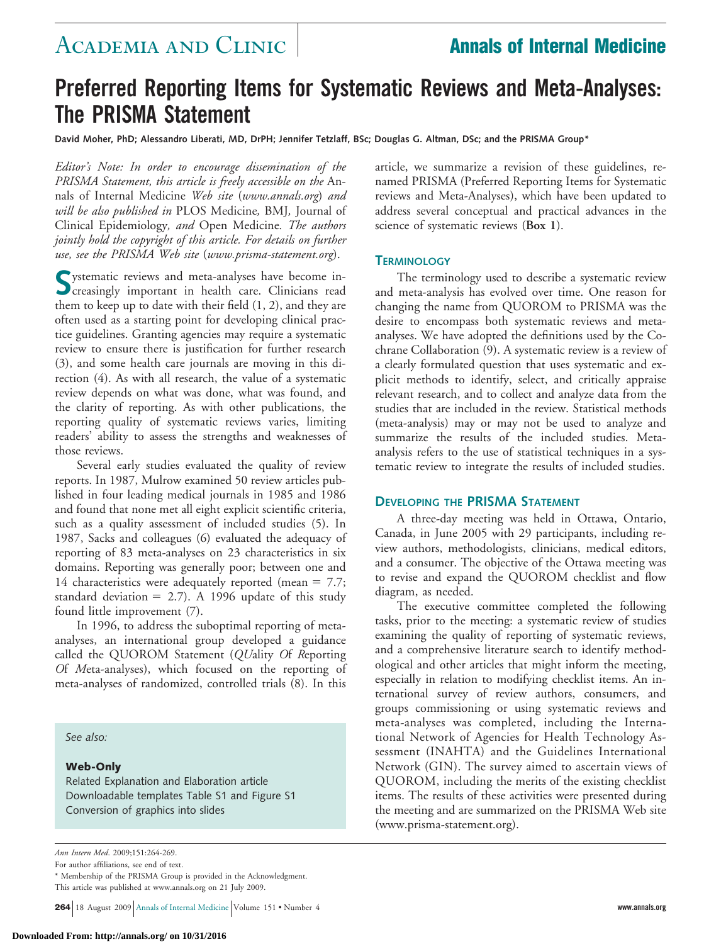# Academia and Clinic **Annals of Internal Medicine**

# **Preferred Reporting Items for Systematic Reviews and Meta-Analyses: The PRISMA Statement**

**David Moher, PhD; Alessandro Liberati, MD, DrPH; Jennifer Tetzlaff, BSc; Douglas G. Altman, DSc; and the PRISMA Group\***

*Editor's Note: In order to encourage dissemination of the PRISMA Statement, this article is freely accessible on the* Annals of Internal Medicine *Web site* (*www.annals.org*) *and will be also published in* PLOS Medicine*,* BMJ*,* Journal of Clinical Epidemiology*, and* Open Medicine*. The authors jointly hold the copyright of this article. For details on further use, see the PRISMA Web site* (*www.prisma-statement.org*).

Systematic reviews and meta-analyses have become increasingly important in health care. Clinicians read them to keep up to date with their field (1, 2), and they are often used as a starting point for developing clinical practice guidelines. Granting agencies may require a systematic review to ensure there is justification for further research (3), and some health care journals are moving in this direction (4). As with all research, the value of a systematic review depends on what was done, what was found, and the clarity of reporting. As with other publications, the reporting quality of systematic reviews varies, limiting readers' ability to assess the strengths and weaknesses of those reviews.

Several early studies evaluated the quality of review reports. In 1987, Mulrow examined 50 review articles published in four leading medical journals in 1985 and 1986 and found that none met all eight explicit scientific criteria, such as a quality assessment of included studies (5). In 1987, Sacks and colleagues (6) evaluated the adequacy of reporting of 83 meta-analyses on 23 characteristics in six domains. Reporting was generally poor; between one and 14 characteristics were adequately reported (mean  $= 7.7$ ; standard deviation  $= 2.7$ ). A 1996 update of this study found little improvement (7).

In 1996, to address the suboptimal reporting of metaanalyses, an international group developed a guidance called the QUOROM Statement (*QU*ality *O*f *R*eporting *O*f *M*eta-analyses), which focused on the reporting of meta-analyses of randomized, controlled trials (8). In this

### *See also:*

#### **Web-Only**

Related Explanation and Elaboration article Downloadable templates Table S1 and Figure S1 Conversion of graphics into slides

*Ann Intern Med*. 2009;151:264-269.

For author affiliations, see end of text.

\* Membership of the PRISMA Group is provided in the Acknowledgment. This article was published at www.annals.org on 21 July 2009.

**264** 18 August 2009 Annals of Internal Medicine Volume 151 • Number 4 *www.annals.org* 

article, we summarize a revision of these guidelines, renamed PRISMA (Preferred Reporting Items for Systematic reviews and Meta-Analyses), which have been updated to address several conceptual and practical advances in the science of systematic reviews (**Box 1**).

#### **TERMINOLOGY**

The terminology used to describe a systematic review and meta-analysis has evolved over time. One reason for changing the name from QUOROM to PRISMA was the desire to encompass both systematic reviews and metaanalyses. We have adopted the definitions used by the Cochrane Collaboration (9). A systematic review is a review of a clearly formulated question that uses systematic and explicit methods to identify, select, and critically appraise relevant research, and to collect and analyze data from the studies that are included in the review. Statistical methods (meta-analysis) may or may not be used to analyze and summarize the results of the included studies. Metaanalysis refers to the use of statistical techniques in a systematic review to integrate the results of included studies.

# **DEVELOPING THE PRISMA STATEMENT**

A three-day meeting was held in Ottawa, Ontario, Canada, in June 2005 with 29 participants, including review authors, methodologists, clinicians, medical editors, and a consumer. The objective of the Ottawa meeting was to revise and expand the QUOROM checklist and flow diagram, as needed.

The executive committee completed the following tasks, prior to the meeting: a systematic review of studies examining the quality of reporting of systematic reviews, and a comprehensive literature search to identify methodological and other articles that might inform the meeting, especially in relation to modifying checklist items. An international survey of review authors, consumers, and groups commissioning or using systematic reviews and meta-analyses was completed, including the International Network of Agencies for Health Technology Assessment (INAHTA) and the Guidelines International Network (GIN). The survey aimed to ascertain views of QUOROM, including the merits of the existing checklist items. The results of these activities were presented during the meeting and are summarized on the PRISMA Web site (www.prisma-statement.org).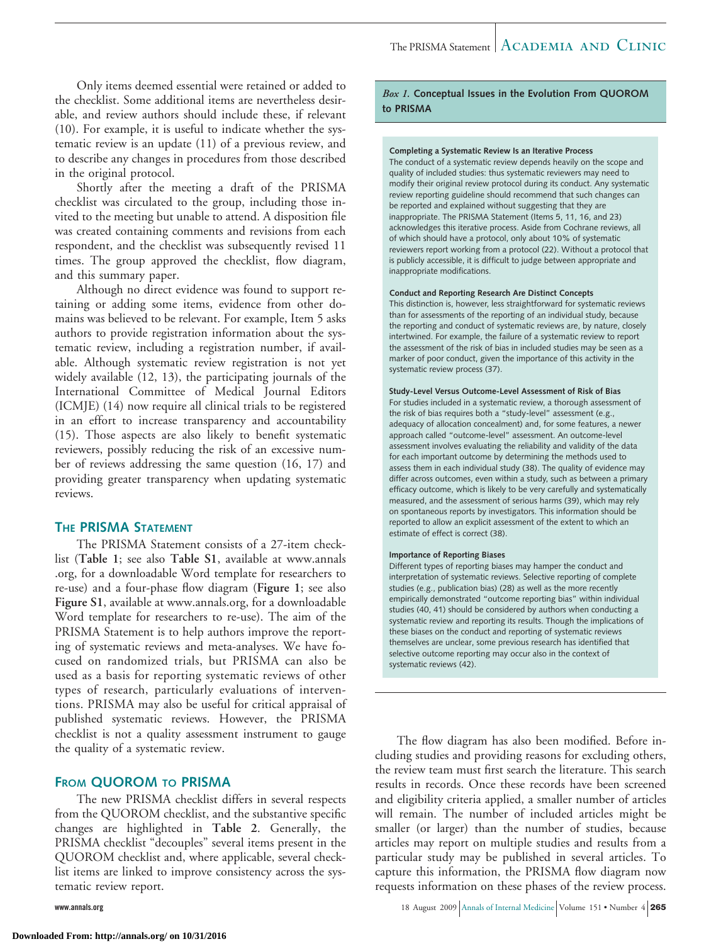Only items deemed essential were retained or added to the checklist. Some additional items are nevertheless desirable, and review authors should include these, if relevant (10). For example, it is useful to indicate whether the systematic review is an update (11) of a previous review, and to describe any changes in procedures from those described in the original protocol.

Shortly after the meeting a draft of the PRISMA checklist was circulated to the group, including those invited to the meeting but unable to attend. A disposition file was created containing comments and revisions from each respondent, and the checklist was subsequently revised 11 times. The group approved the checklist, flow diagram, and this summary paper.

Although no direct evidence was found to support retaining or adding some items, evidence from other domains was believed to be relevant. For example, Item 5 asks authors to provide registration information about the systematic review, including a registration number, if available. Although systematic review registration is not yet widely available (12, 13), the participating journals of the International Committee of Medical Journal Editors (ICMJE) (14) now require all clinical trials to be registered in an effort to increase transparency and accountability (15). Those aspects are also likely to benefit systematic reviewers, possibly reducing the risk of an excessive number of reviews addressing the same question (16, 17) and providing greater transparency when updating systematic reviews.

# **THE PRISMA STATEMENT**

The PRISMA Statement consists of a 27-item checklist (**Table 1**; see also **Table S1**, available at www.annals .org, for a downloadable Word template for researchers to re-use) and a four-phase flow diagram (**Figure 1**; see also **Figure S1**, available at www.annals.org, for a downloadable Word template for researchers to re-use). The aim of the PRISMA Statement is to help authors improve the reporting of systematic reviews and meta-analyses. We have focused on randomized trials, but PRISMA can also be used as a basis for reporting systematic reviews of other types of research, particularly evaluations of interventions. PRISMA may also be useful for critical appraisal of published systematic reviews. However, the PRISMA checklist is not a quality assessment instrument to gauge the quality of a systematic review.

# **FROM QUOROM TO PRISMA**

The new PRISMA checklist differs in several respects from the QUOROM checklist, and the substantive specific changes are highlighted in **Table 2**. Generally, the PRISMA checklist "decouples" several items present in the QUOROM checklist and, where applicable, several checklist items are linked to improve consistency across the systematic review report.

### *Box 1.* **Conceptual Issues in the Evolution From QUOROM to PRISMA**

#### **Completing a Systematic Review Is an Iterative Process**

The conduct of a systematic review depends heavily on the scope and quality of included studies: thus systematic reviewers may need to modify their original review protocol during its conduct. Any systematic review reporting guideline should recommend that such changes can be reported and explained without suggesting that they are inappropriate. The PRISMA Statement (Items 5, 11, 16, and 23) acknowledges this iterative process. Aside from Cochrane reviews, all of which should have a protocol, only about 10% of systematic reviewers report working from a protocol (22). Without a protocol that is publicly accessible, it is difficult to judge between appropriate and inappropriate modifications.

### **Conduct and Reporting Research Are Distinct Concepts**

This distinction is, however, less straightforward for systematic reviews than for assessments of the reporting of an individual study, because the reporting and conduct of systematic reviews are, by nature, closely intertwined. For example, the failure of a systematic review to report the assessment of the risk of bias in included studies may be seen as a marker of poor conduct, given the importance of this activity in the systematic review process (37).

#### **Study-Level Versus Outcome-Level Assessment of Risk of Bias**

For studies included in a systematic review, a thorough assessment of the risk of bias requires both a "study-level" assessment (e.g., adequacy of allocation concealment) and, for some features, a newer approach called "outcome-level" assessment. An outcome-level assessment involves evaluating the reliability and validity of the data for each important outcome by determining the methods used to assess them in each individual study (38). The quality of evidence may differ across outcomes, even within a study, such as between a primary efficacy outcome, which is likely to be very carefully and systematically measured, and the assessment of serious harms (39), which may rely on spontaneous reports by investigators. This information should be reported to allow an explicit assessment of the extent to which an estimate of effect is correct (38).

#### **Importance of Reporting Biases**

Different types of reporting biases may hamper the conduct and interpretation of systematic reviews. Selective reporting of complete studies (e.g., publication bias) (28) as well as the more recently empirically demonstrated "outcome reporting bias" within individual studies (40, 41) should be considered by authors when conducting a systematic review and reporting its results. Though the implications of these biases on the conduct and reporting of systematic reviews themselves are unclear, some previous research has identified that selective outcome reporting may occur also in the context of systematic reviews (42).

The flow diagram has also been modified. Before including studies and providing reasons for excluding others, the review team must first search the literature. This search results in records. Once these records have been screened and eligibility criteria applied, a smaller number of articles will remain. The number of included articles might be smaller (or larger) than the number of studies, because articles may report on multiple studies and results from a particular study may be published in several articles. To capture this information, the PRISMA flow diagram now requests information on these phases of the review process.

**www.annals.org** 18 August 2009 Annals of Internal Medicine Volume 151 • Number 4 **265**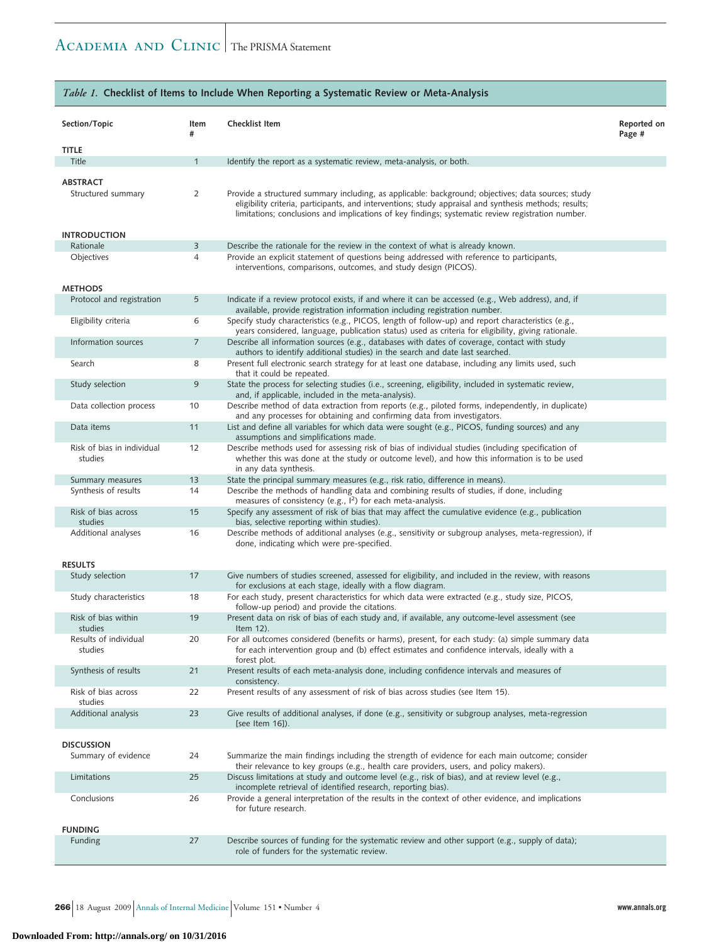| Section/Topic                         | Item<br>#      | Checklist Item                                                                                                                                                                                                                                                                                                    | Reported on<br>Page # |
|---------------------------------------|----------------|-------------------------------------------------------------------------------------------------------------------------------------------------------------------------------------------------------------------------------------------------------------------------------------------------------------------|-----------------------|
| <b>TITLE</b>                          |                |                                                                                                                                                                                                                                                                                                                   |                       |
| Title                                 | $\mathbf{1}$   | Identify the report as a systematic review, meta-analysis, or both.                                                                                                                                                                                                                                               |                       |
|                                       |                |                                                                                                                                                                                                                                                                                                                   |                       |
| <b>ABSTRACT</b><br>Structured summary | 2              | Provide a structured summary including, as applicable: background; objectives; data sources; study<br>eligibility criteria, participants, and interventions; study appraisal and synthesis methods; results;<br>limitations; conclusions and implications of key findings; systematic review registration number. |                       |
| <b>INTRODUCTION</b>                   |                |                                                                                                                                                                                                                                                                                                                   |                       |
| Rationale                             | 3              | Describe the rationale for the review in the context of what is already known.                                                                                                                                                                                                                                    |                       |
| Objectives                            | $\overline{4}$ | Provide an explicit statement of questions being addressed with reference to participants,<br>interventions, comparisons, outcomes, and study design (PICOS).                                                                                                                                                     |                       |
| <b>METHODS</b>                        |                |                                                                                                                                                                                                                                                                                                                   |                       |
| Protocol and registration             | 5              | Indicate if a review protocol exists, if and where it can be accessed (e.g., Web address), and, if<br>available, provide registration information including registration number.                                                                                                                                  |                       |
| Eligibility criteria                  | 6              | Specify study characteristics (e.g., PICOS, length of follow-up) and report characteristics (e.g.,<br>years considered, language, publication status) used as criteria for eligibility, giving rationale.                                                                                                         |                       |
| Information sources                   | $\overline{7}$ | Describe all information sources (e.g., databases with dates of coverage, contact with study<br>authors to identify additional studies) in the search and date last searched.                                                                                                                                     |                       |
| Search                                | 8              | Present full electronic search strategy for at least one database, including any limits used, such                                                                                                                                                                                                                |                       |
| Study selection                       | 9              | that it could be repeated.<br>State the process for selecting studies (i.e., screening, eligibility, included in systematic review,<br>and, if applicable, included in the meta-analysis).                                                                                                                        |                       |
| Data collection process               | 10             | Describe method of data extraction from reports (e.g., piloted forms, independently, in duplicate)<br>and any processes for obtaining and confirming data from investigators.                                                                                                                                     |                       |
| Data items                            | 11             | List and define all variables for which data were sought (e.g., PICOS, funding sources) and any<br>assumptions and simplifications made.                                                                                                                                                                          |                       |
| Risk of bias in individual<br>studies | 12             | Describe methods used for assessing risk of bias of individual studies (including specification of<br>whether this was done at the study or outcome level), and how this information is to be used<br>in any data synthesis.                                                                                      |                       |
| Summary measures                      | 13             | State the principal summary measures (e.g., risk ratio, difference in means).                                                                                                                                                                                                                                     |                       |
| Synthesis of results                  | 14             | Describe the methods of handling data and combining results of studies, if done, including<br>measures of consistency (e.g., $I^2$ ) for each meta-analysis.                                                                                                                                                      |                       |
| Risk of bias across<br>studies        | 15             | Specify any assessment of risk of bias that may affect the cumulative evidence (e.g., publication<br>bias, selective reporting within studies).                                                                                                                                                                   |                       |
| Additional analyses                   | 16             | Describe methods of additional analyses (e.g., sensitivity or subgroup analyses, meta-regression), if<br>done, indicating which were pre-specified.                                                                                                                                                               |                       |
| <b>RESULTS</b>                        |                |                                                                                                                                                                                                                                                                                                                   |                       |
| Study selection                       | 17             | Give numbers of studies screened, assessed for eligibility, and included in the review, with reasons<br>for exclusions at each stage, ideally with a flow diagram.                                                                                                                                                |                       |
| Study characteristics                 | 18             | For each study, present characteristics for which data were extracted (e.g., study size, PICOS,<br>follow-up period) and provide the citations.                                                                                                                                                                   |                       |
| Risk of bias within<br>studies        | 19             | Present data on risk of bias of each study and, if available, any outcome-level assessment (see<br>Item 12).                                                                                                                                                                                                      |                       |
| Results of individual<br>studies      | 20             | For all outcomes considered (benefits or harms), present, for each study: (a) simple summary data<br>for each intervention group and (b) effect estimates and confidence intervals, ideally with a<br>forest plot.                                                                                                |                       |
| Synthesis of results                  | 21             | Present results of each meta-analysis done, including confidence intervals and measures of<br>consistency.                                                                                                                                                                                                        |                       |
| Risk of bias across<br>studies        | 22             | Present results of any assessment of risk of bias across studies (see Item 15).                                                                                                                                                                                                                                   |                       |
| Additional analysis                   | 23             | Give results of additional analyses, if done (e.g., sensitivity or subgroup analyses, meta-regression<br>[see Item $16$ ]).                                                                                                                                                                                       |                       |
| <b>DISCUSSION</b>                     |                |                                                                                                                                                                                                                                                                                                                   |                       |
| Summary of evidence                   | 24             | Summarize the main findings including the strength of evidence for each main outcome; consider<br>their relevance to key groups (e.g., health care providers, users, and policy makers).                                                                                                                          |                       |
| Limitations                           | 25             | Discuss limitations at study and outcome level (e.g., risk of bias), and at review level (e.g.,<br>incomplete retrieval of identified research, reporting bias).                                                                                                                                                  |                       |
| Conclusions                           | 26             | Provide a general interpretation of the results in the context of other evidence, and implications<br>for future research.                                                                                                                                                                                        |                       |
| <b>FUNDING</b>                        |                |                                                                                                                                                                                                                                                                                                                   |                       |
| Funding                               | 27             | Describe sources of funding for the systematic review and other support (e.g., supply of data);                                                                                                                                                                                                                   |                       |
|                                       |                | role of funders for the systematic review.                                                                                                                                                                                                                                                                        |                       |

# *Table 1.* **Checklist of Items to Include When Reporting a Systematic Review or Meta-Analysis**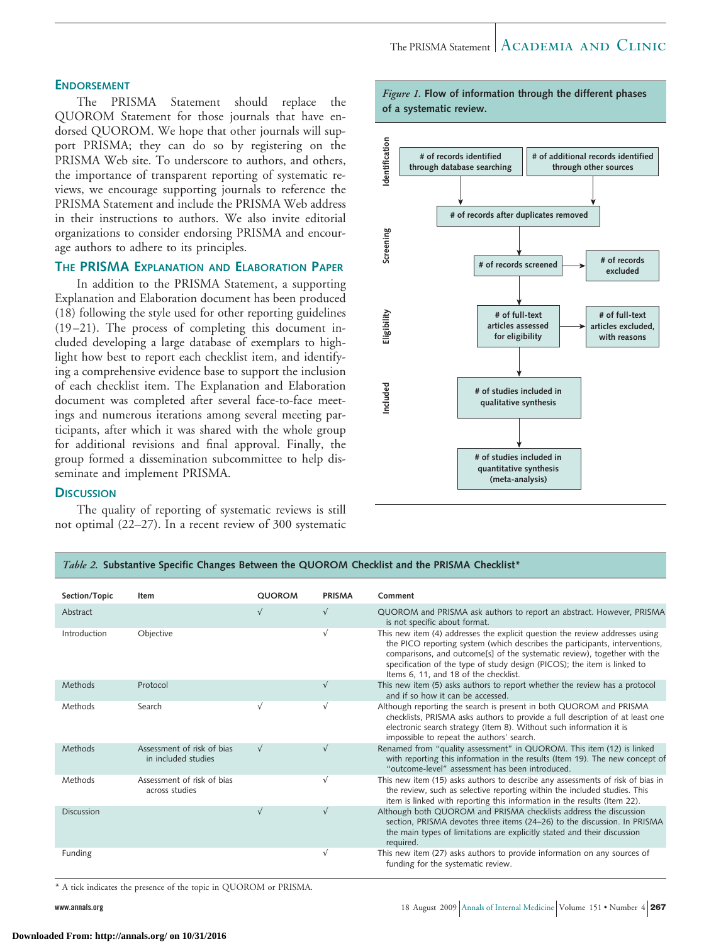### **ENDORSEMENT**

The PRISMA Statement should replace the QUOROM Statement for those journals that have endorsed QUOROM. We hope that other journals will support PRISMA; they can do so by registering on the PRISMA Web site. To underscore to authors, and others, the importance of transparent reporting of systematic reviews, we encourage supporting journals to reference the PRISMA Statement and include the PRISMA Web address in their instructions to authors. We also invite editorial organizations to consider endorsing PRISMA and encourage authors to adhere to its principles.

### **THE PRISMA EXPLANATION AND ELABORATION PAPER**

In addition to the PRISMA Statement, a supporting Explanation and Elaboration document has been produced (18) following the style used for other reporting guidelines (19 –21). The process of completing this document included developing a large database of exemplars to highlight how best to report each checklist item, and identifying a comprehensive evidence base to support the inclusion of each checklist item. The Explanation and Elaboration document was completed after several face-to-face meetings and numerous iterations among several meeting participants, after which it was shared with the whole group for additional revisions and final approval. Finally, the group formed a dissemination subcommittee to help disseminate and implement PRISMA.

#### **DISCUSSION**

The quality of reporting of systematic reviews is still not optimal (22–27). In a recent review of 300 systematic *Figure 1.* **Flow of information through the different phases of a systematic review.**



|  |  |  | <i>Table 2.</i> Substantive Specific Changes Between the QUOROM Checklist and the PRISMA Checklist* |  |
|--|--|--|-----------------------------------------------------------------------------------------------------|--|
|--|--|--|-----------------------------------------------------------------------------------------------------|--|

| Section/Topic     | Item                                              | <b>QUOROM</b> | <b>PRISMA</b> | Comment                                                                                                                                                                                                                                                                                                                                                      |
|-------------------|---------------------------------------------------|---------------|---------------|--------------------------------------------------------------------------------------------------------------------------------------------------------------------------------------------------------------------------------------------------------------------------------------------------------------------------------------------------------------|
| Abstract          |                                                   |               |               | QUOROM and PRISMA ask authors to report an abstract. However, PRISMA<br>is not specific about format.                                                                                                                                                                                                                                                        |
| Introduction      | Objective                                         |               | V             | This new item (4) addresses the explicit question the review addresses using<br>the PICO reporting system (which describes the participants, interventions,<br>comparisons, and outcome[s] of the systematic review), together with the<br>specification of the type of study design (PICOS); the item is linked to<br>Items 6, 11, and 18 of the checklist. |
| Methods           | Protocol                                          |               |               | This new item (5) asks authors to report whether the review has a protocol<br>and if so how it can be accessed.                                                                                                                                                                                                                                              |
| Methods           | Search                                            | V             | V             | Although reporting the search is present in both QUOROM and PRISMA<br>checklists, PRISMA asks authors to provide a full description of at least one<br>electronic search strategy (Item 8). Without such information it is<br>impossible to repeat the authors' search.                                                                                      |
| Methods           | Assessment of risk of bias<br>in included studies |               |               | Renamed from "quality assessment" in QUOROM. This item (12) is linked<br>with reporting this information in the results (Item 19). The new concept of<br>"outcome-level" assessment has been introduced.                                                                                                                                                     |
| Methods           | Assessment of risk of bias<br>across studies      |               |               | This new item (15) asks authors to describe any assessments of risk of bias in<br>the review, such as selective reporting within the included studies. This<br>item is linked with reporting this information in the results (Item 22).                                                                                                                      |
| <b>Discussion</b> |                                                   |               |               | Although both QUOROM and PRISMA checklists address the discussion<br>section, PRISMA devotes three items (24-26) to the discussion. In PRISMA<br>the main types of limitations are explicitly stated and their discussion<br>required.                                                                                                                       |
| Funding           |                                                   |               | V             | This new item (27) asks authors to provide information on any sources of<br>funding for the systematic review.                                                                                                                                                                                                                                               |

\* A tick indicates the presence of the topic in QUOROM or PRISMA.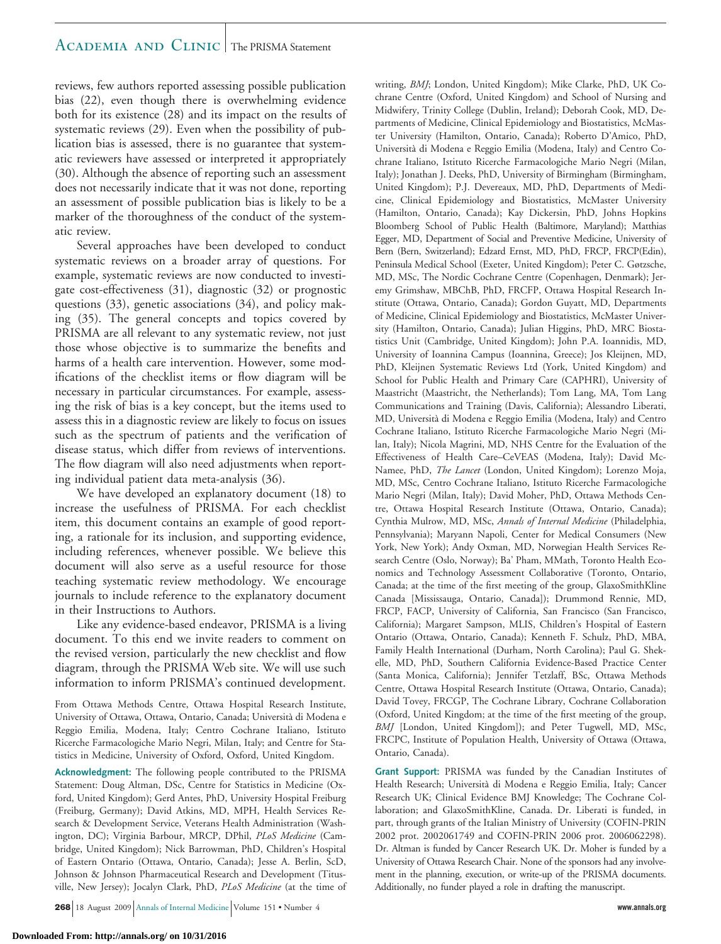# ACADEMIA AND CLINIC The PRISMA Statement

reviews, few authors reported assessing possible publication bias (22), even though there is overwhelming evidence both for its existence (28) and its impact on the results of systematic reviews (29). Even when the possibility of publication bias is assessed, there is no guarantee that systematic reviewers have assessed or interpreted it appropriately (30). Although the absence of reporting such an assessment does not necessarily indicate that it was not done, reporting an assessment of possible publication bias is likely to be a marker of the thoroughness of the conduct of the systematic review.

Several approaches have been developed to conduct systematic reviews on a broader array of questions. For example, systematic reviews are now conducted to investigate cost-effectiveness (31), diagnostic (32) or prognostic questions (33), genetic associations (34), and policy making (35). The general concepts and topics covered by PRISMA are all relevant to any systematic review, not just those whose objective is to summarize the benefits and harms of a health care intervention. However, some modifications of the checklist items or flow diagram will be necessary in particular circumstances. For example, assessing the risk of bias is a key concept, but the items used to assess this in a diagnostic review are likely to focus on issues such as the spectrum of patients and the verification of disease status, which differ from reviews of interventions. The flow diagram will also need adjustments when reporting individual patient data meta-analysis (36).

We have developed an explanatory document (18) to increase the usefulness of PRISMA. For each checklist item, this document contains an example of good reporting, a rationale for its inclusion, and supporting evidence, including references, whenever possible. We believe this document will also serve as a useful resource for those teaching systematic review methodology. We encourage journals to include reference to the explanatory document in their Instructions to Authors.

Like any evidence-based endeavor, PRISMA is a living document. To this end we invite readers to comment on the revised version, particularly the new checklist and flow diagram, through the PRISMA Web site. We will use such information to inform PRISMA's continued development.

From Ottawa Methods Centre, Ottawa Hospital Research Institute, University of Ottawa, Ottawa, Ontario, Canada; Universita` di Modena e Reggio Emilia, Modena, Italy; Centro Cochrane Italiano, Istituto Ricerche Farmacologiche Mario Negri, Milan, Italy; and Centre for Statistics in Medicine, University of Oxford, Oxford, United Kingdom.

**Acknowledgment:** The following people contributed to the PRISMA Statement: Doug Altman, DSc, Centre for Statistics in Medicine (Oxford, United Kingdom); Gerd Antes, PhD, University Hospital Freiburg (Freiburg, Germany); David Atkins, MD, MPH, Health Services Research & Development Service, Veterans Health Administration (Washington, DC); Virginia Barbour, MRCP, DPhil, *PLoS Medicine* (Cambridge, United Kingdom); Nick Barrowman, PhD, Children's Hospital of Eastern Ontario (Ottawa, Ontario, Canada); Jesse A. Berlin, ScD, Johnson & Johnson Pharmaceutical Research and Development (Titusville, New Jersey); Jocalyn Clark, PhD, *PLoS Medicine* (at the time of

**268** 18 August 2009 Annals of Internal Medicine Volume 151 • Number 4 **www.annals.org**

writing, *BMJ*; London, United Kingdom); Mike Clarke, PhD, UK Cochrane Centre (Oxford, United Kingdom) and School of Nursing and Midwifery, Trinity College (Dublin, Ireland); Deborah Cook, MD, Departments of Medicine, Clinical Epidemiology and Biostatistics, McMaster University (Hamilton, Ontario, Canada); Roberto D'Amico, PhD, Universita` di Modena e Reggio Emilia (Modena, Italy) and Centro Cochrane Italiano, Istituto Ricerche Farmacologiche Mario Negri (Milan, Italy); Jonathan J. Deeks, PhD, University of Birmingham (Birmingham, United Kingdom); P.J. Devereaux, MD, PhD, Departments of Medicine, Clinical Epidemiology and Biostatistics, McMaster University (Hamilton, Ontario, Canada); Kay Dickersin, PhD, Johns Hopkins Bloomberg School of Public Health (Baltimore, Maryland); Matthias Egger, MD, Department of Social and Preventive Medicine, University of Bern (Bern, Switzerland); Edzard Ernst, MD, PhD, FRCP, FRCP(Edin), Peninsula Medical School (Exeter, United Kingdom); Peter C. Gøtzsche, MD, MSc, The Nordic Cochrane Centre (Copenhagen, Denmark); Jeremy Grimshaw, MBChB, PhD, FRCFP, Ottawa Hospital Research Institute (Ottawa, Ontario, Canada); Gordon Guyatt, MD, Departments of Medicine, Clinical Epidemiology and Biostatistics, McMaster University (Hamilton, Ontario, Canada); Julian Higgins, PhD, MRC Biostatistics Unit (Cambridge, United Kingdom); John P.A. Ioannidis, MD, University of Ioannina Campus (Ioannina, Greece); Jos Kleijnen, MD, PhD, Kleijnen Systematic Reviews Ltd (York, United Kingdom) and School for Public Health and Primary Care (CAPHRI), University of Maastricht (Maastricht, the Netherlands); Tom Lang, MA, Tom Lang Communications and Training (Davis, California); Alessandro Liberati, MD, Universita` di Modena e Reggio Emilia (Modena, Italy) and Centro Cochrane Italiano, Istituto Ricerche Farmacologiche Mario Negri (Milan, Italy); Nicola Magrini, MD, NHS Centre for the Evaluation of the Effectiveness of Health Care–CeVEAS (Modena, Italy); David Mc-Namee, PhD, *The Lancet* (London, United Kingdom); Lorenzo Moja, MD, MSc, Centro Cochrane Italiano, Istituto Ricerche Farmacologiche Mario Negri (Milan, Italy); David Moher, PhD, Ottawa Methods Centre, Ottawa Hospital Research Institute (Ottawa, Ontario, Canada); Cynthia Mulrow, MD, MSc, *Annals of Internal Medicine* (Philadelphia, Pennsylvania); Maryann Napoli, Center for Medical Consumers (New York, New York); Andy Oxman, MD, Norwegian Health Services Research Centre (Oslo, Norway); Ba' Pham, MMath, Toronto Health Economics and Technology Assessment Collaborative (Toronto, Ontario, Canada; at the time of the first meeting of the group, GlaxoSmithKline Canada [Mississauga, Ontario, Canada]); Drummond Rennie, MD, FRCP, FACP, University of California, San Francisco (San Francisco, California); Margaret Sampson, MLIS, Children's Hospital of Eastern Ontario (Ottawa, Ontario, Canada); Kenneth F. Schulz, PhD, MBA, Family Health International (Durham, North Carolina); Paul G. Shekelle, MD, PhD, Southern California Evidence-Based Practice Center (Santa Monica, California); Jennifer Tetzlaff, BSc, Ottawa Methods Centre, Ottawa Hospital Research Institute (Ottawa, Ontario, Canada); David Tovey, FRCGP, The Cochrane Library, Cochrane Collaboration (Oxford, United Kingdom; at the time of the first meeting of the group, *BMJ* [London, United Kingdom]); and Peter Tugwell, MD, MSc, FRCPC, Institute of Population Health, University of Ottawa (Ottawa, Ontario, Canada).

**Grant Support:** PRISMA was funded by the Canadian Institutes of Health Research; Universita` di Modena e Reggio Emilia, Italy; Cancer Research UK; Clinical Evidence BMJ Knowledge; The Cochrane Collaboration; and GlaxoSmithKline, Canada. Dr. Liberati is funded, in part, through grants of the Italian Ministry of University (COFIN-PRIN 2002 prot. 2002061749 and COFIN-PRIN 2006 prot. 2006062298). Dr. Altman is funded by Cancer Research UK. Dr. Moher is funded by a University of Ottawa Research Chair. None of the sponsors had any involvement in the planning, execution, or write-up of the PRISMA documents. Additionally, no funder played a role in drafting the manuscript.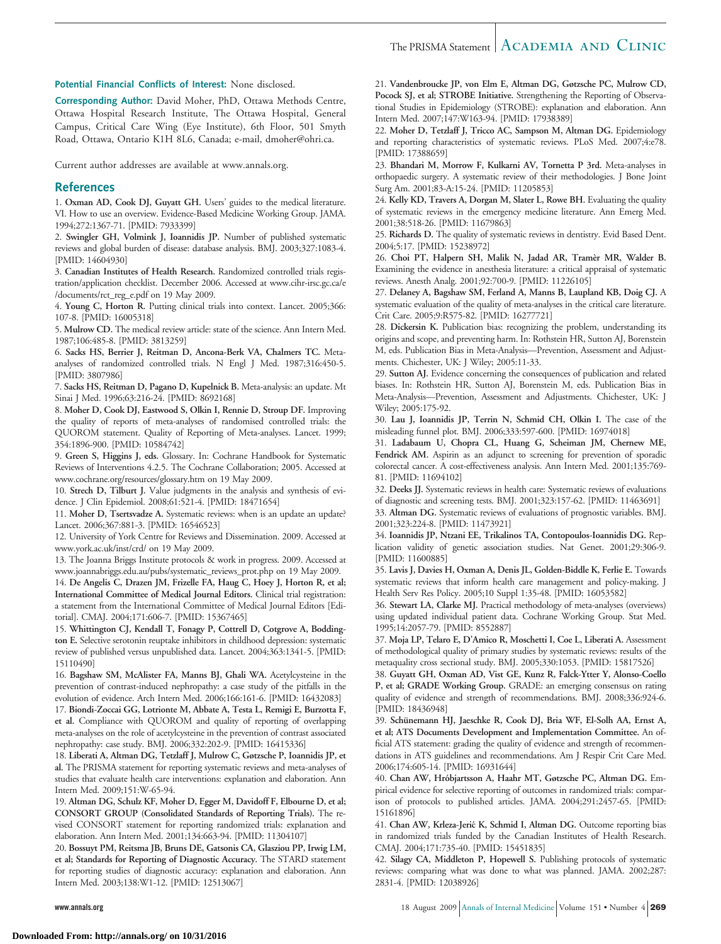# The PRISMA Statement | ACADEMIA AND CLINIC

#### **Potential Financial Conflicts of Interest:** None disclosed.

**Corresponding Author:** David Moher, PhD, Ottawa Methods Centre, Ottawa Hospital Research Institute, The Ottawa Hospital, General Campus, Critical Care Wing (Eye Institute), 6th Floor, 501 Smyth Road, Ottawa, Ontario K1H 8L6, Canada; e-mail, dmoher@ohri.ca.

Current author addresses are available at www.annals.org.

#### **References**

1. **Oxman AD, Cook DJ, Guyatt GH.** Users' guides to the medical literature. VI. How to use an overview. Evidence-Based Medicine Working Group. JAMA. 1994;272:1367-71. [PMID: 7933399]

2. **Swingler GH, Volmink J, Ioannidis JP.** Number of published systematic reviews and global burden of disease: database analysis. BMJ. 2003;327:1083-4. [PMID: 14604930]

3. **Canadian Institutes of Health Research.** Randomized controlled trials registration/application checklist. December 2006. Accessed at www.cihr-irsc.gc.ca/e /documents/rct\_reg\_e.pdf on 19 May 2009.

4. **Young C, Horton R.** Putting clinical trials into context. Lancet. 2005;366: 107-8. [PMID: 16005318]

5. **Mulrow CD.** The medical review article: state of the science. Ann Intern Med. 1987;106:485-8. [PMID: 3813259]

6. **Sacks HS, Berrier J, Reitman D, Ancona-Berk VA, Chalmers TC.** Metaanalyses of randomized controlled trials. N Engl J Med. 1987;316:450-5. [PMID: 3807986]

7. **Sacks HS, Reitman D, Pagano D, Kupelnick B.** Meta-analysis: an update. Mt Sinai J Med. 1996;63:216-24. [PMID: 8692168]

8. **Moher D, Cook DJ, Eastwood S, Olkin I, Rennie D, Stroup DF.** Improving the quality of reports of meta-analyses of randomised controlled trials: the QUOROM statement. Quality of Reporting of Meta-analyses. Lancet. 1999; 354:1896-900. [PMID: 10584742]

9. **Green S, Higgins J, eds.** Glossary. In: Cochrane Handbook for Systematic Reviews of Interventions 4.2.5. The Cochrane Collaboration; 2005. Accessed at www.cochrane.org/resources/glossary.htm on 19 May 2009.

10. **Strech D, Tilburt J.** Value judgments in the analysis and synthesis of evidence. J Clin Epidemiol. 2008;61:521-4. [PMID: 18471654]

11. Moher D, Tsertsvadze A. Systematic reviews: when is an update an update? Lancet. 2006;367:881-3. [PMID: 16546523]

12. University of York Centre for Reviews and Dissemination. 2009. Accessed at www.york.ac.uk/inst/crd/ on 19 May 2009.

13. The Joanna Briggs Institute protocols & work in progress. 2009. Accessed at www.joannabriggs.edu.au/pubs/systematic\_reviews\_prot.php on 19 May 2009.

14. **De Angelis C, Drazen JM, Frizelle FA, Haug C, Hoey J, Horton R, et al; International Committee of Medical Journal Editors.** Clinical trial registration: a statement from the International Committee of Medical Journal Editors [Editorial]. CMAJ. 2004;171:606-7. [PMID: 15367465]

15. **Whittington CJ, Kendall T, Fonagy P, Cottrell D, Cotgrove A, Boddington E.** Selective serotonin reuptake inhibitors in childhood depression: systematic review of published versus unpublished data. Lancet. 2004;363:1341-5. [PMID: 15110490]

16. **Bagshaw SM, McAlister FA, Manns BJ, Ghali WA.** Acetylcysteine in the prevention of contrast-induced nephropathy: a case study of the pitfalls in the evolution of evidence. Arch Intern Med. 2006;166:161-6. [PMID: 16432083]

17. **Biondi-Zoccai GG, Lotrionte M, Abbate A, Testa L, Remigi E, Burzotta F, et al.** Compliance with QUOROM and quality of reporting of overlapping meta-analyses on the role of acetylcysteine in the prevention of contrast associated nephropathy: case study. BMJ. 2006;332:202-9. [PMID: 16415336]

18. **Liberati A, Altman DG, Tetzlaff J, Mulrow C, Gøtzsche P, Ioannidis JP, et al.** The PRISMA statement for reporting systematic reviews and meta-analyses of studies that evaluate health care interventions: explanation and elaboration. Ann Intern Med. 2009;151:W-65-94.

19. **Altman DG, Schulz KF, Moher D, Egger M, Davidoff F, Elbourne D, et al; CONSORT GROUP (Consolidated Standards of Reporting Trials).** The revised CONSORT statement for reporting randomized trials: explanation and elaboration. Ann Intern Med. 2001;134:663-94. [PMID: 11304107]

20. **Bossuyt PM, Reitsma JB, Bruns DE, Gatsonis CA, Glasziou PP, Irwig LM, et al; Standards for Reporting of Diagnostic Accuracy.** The STARD statement for reporting studies of diagnostic accuracy: explanation and elaboration. Ann Intern Med. 2003;138:W1-12. [PMID: 12513067]

21. **Vandenbroucke JP, von Elm E, Altman DG, Gøtzsche PC, Mulrow CD, Pocock SJ, et al; STROBE Initiative.** Strengthening the Reporting of Observational Studies in Epidemiology (STROBE): explanation and elaboration. Ann Intern Med. 2007;147:W163-94. [PMID: 17938389]

22. **Moher D, Tetzlaff J, Tricco AC, Sampson M, Altman DG.** Epidemiology and reporting characteristics of systematic reviews. PLoS Med. 2007;4:e78. [PMID: 17388659]

23. **Bhandari M, Morrow F, Kulkarni AV, Tornetta P 3rd.** Meta-analyses in orthopaedic surgery. A systematic review of their methodologies. J Bone Joint Surg Am. 2001;83-A:15-24. [PMID: 11205853]

24. **Kelly KD, Travers A, Dorgan M, Slater L, Rowe BH.** Evaluating the quality of systematic reviews in the emergency medicine literature. Ann Emerg Med. 2001;38:518-26. [PMID: 11679863]

25. **Richards D.** The quality of systematic reviews in dentistry. Evid Based Dent. 2004;5:17. [PMID: 15238972]

26. Choi PT, Halpern SH, Malik N, Jadad AR, Tramèr MR, Walder B. Examining the evidence in anesthesia literature: a critical appraisal of systematic reviews. Anesth Analg. 2001;92:700-9. [PMID: 11226105]

27. **Delaney A, Bagshaw SM, Ferland A, Manns B, Laupland KB, Doig CJ.** A systematic evaluation of the quality of meta-analyses in the critical care literature. Crit Care. 2005;9:R575-82. [PMID: 16277721]

28. **Dickersin K.** Publication bias: recognizing the problem, understanding its origins and scope, and preventing harm. In: Rothstein HR, Sutton AJ, Borenstein M, eds. Publication Bias in Meta-Analysis—Prevention, Assessment and Adjustments. Chichester, UK: J Wiley; 2005:11-33.

29. **Sutton AJ.** Evidence concerning the consequences of publication and related biases. In: Rothstein HR, Sutton AJ, Borenstein M, eds. Publication Bias in Meta-Analysis—Prevention, Assessment and Adjustments. Chichester, UK: J Wiley; 2005:175-92.

30. **Lau J, Ioannidis JP, Terrin N, Schmid CH, Olkin I.** The case of the misleading funnel plot. BMJ. 2006;333:597-600. [PMID: 16974018]

31. **Ladabaum U, Chopra CL, Huang G, Scheiman JM, Chernew ME,** Fendrick AM. Aspirin as an adjunct to screening for prevention of sporadic colorectal cancer. A cost-effectiveness analysis. Ann Intern Med. 2001;135:769- 81. [PMID: 11694102]

32. **Deeks JJ.** Systematic reviews in health care: Systematic reviews of evaluations of diagnostic and screening tests. BMJ. 2001;323:157-62. [PMID: 11463691]

33. **Altman DG.** Systematic reviews of evaluations of prognostic variables. BMJ. 2001;323:224-8. [PMID: 11473921]

34. **Ioannidis JP, Ntzani EE, Trikalinos TA, Contopoulos-Ioannidis DG.** Replication validity of genetic association studies. Nat Genet. 2001;29:306-9. [PMID: 11600885]

35. **Lavis J, Davies H, Oxman A, Denis JL, Golden-Biddle K, Ferlie E.** Towards systematic reviews that inform health care management and policy-making. J Health Serv Res Policy. 2005;10 Suppl 1:35-48. [PMID: 16053582]

36. **Stewart LA, Clarke MJ.** Practical methodology of meta-analyses (overviews) using updated individual patient data. Cochrane Working Group. Stat Med. 1995;14:2057-79. [PMID: 8552887]

37. **Moja LP, Telaro E, D'Amico R, Moschetti I, Coe L, Liberati A.** Assessment of methodological quality of primary studies by systematic reviews: results of the metaquality cross sectional study. BMJ. 2005;330:1053. [PMID: 15817526]

38. **Guyatt GH, Oxman AD, Vist GE, Kunz R, Falck-Ytter Y, Alonso-Coello P, et al; GRADE Working Group.** GRADE: an emerging consensus on rating quality of evidence and strength of recommendations. BMJ. 2008;336:924-6. [PMID: 18436948]

39. **Schu¨nemann HJ, Jaeschke R, Cook DJ, Bria WF, El-Solh AA, Ernst A, et al; ATS Documents Development and Implementation Committee.** An official ATS statement: grading the quality of evidence and strength of recommendations in ATS guidelines and recommendations. Am J Respir Crit Care Med. 2006;174:605-14. [PMID: 16931644]

40. **Chan AW, Hro´bjartsson A, Haahr MT, Gøtzsche PC, Altman DG.** Empirical evidence for selective reporting of outcomes in randomized trials: comparison of protocols to published articles. JAMA. 2004;291:2457-65. [PMID: 15161896]

41. **Chan AW, Krleza-Jeric´ K, Schmid I, Altman DG.** Outcome reporting bias in randomized trials funded by the Canadian Institutes of Health Research. CMAJ. 2004;171:735-40. [PMID: 15451835]

42. **Silagy CA, Middleton P, Hopewell S.** Publishing protocols of systematic reviews: comparing what was done to what was planned. JAMA. 2002;287: 2831-4. [PMID: 12038926]